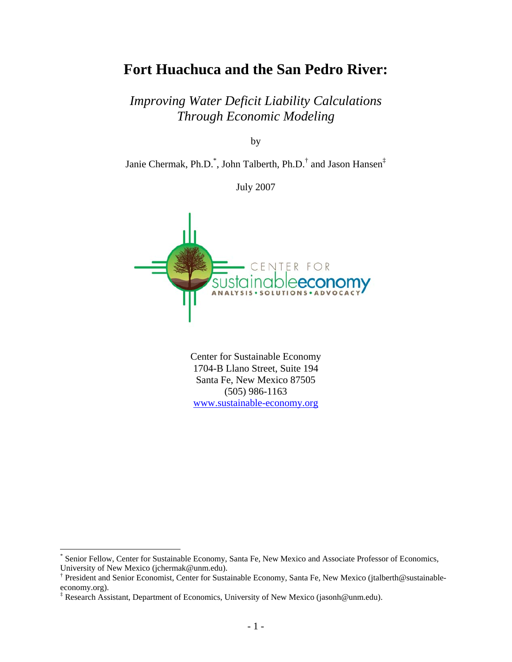# **Fort Huachuca and the San Pedro River:**

*Improving Water Deficit Liability Calculations Through Economic Modeling* 

by

Janie Chermak, Ph.D.<sup>\*</sup>, John Talberth, Ph.D.<sup>[†](#page-0-1)</sup> and Jason Hansen<sup>[‡](#page-0-2)</sup>

July 2007



Center for Sustainable Economy 1704-B Llano Street, Suite 194 Santa Fe, New Mexico 87505 (505) 986-1163 [www.sustainable-economy.org](http://www.sustainable-economy.org/)

 $\overline{a}$ 

<span id="page-0-0"></span><sup>\*</sup> Senior Fellow, Center for Sustainable Economy, Santa Fe, New Mexico and Associate Professor of Economics, University of New Mexico (jchermak@unm.edu).

<span id="page-0-1"></span><sup>†</sup> President and Senior Economist, Center for Sustainable Economy, Santa Fe, New Mexico (jtalberth@sustainableeconomy.org).

<span id="page-0-2"></span><sup>‡</sup> Research Assistant, Department of Economics, University of New Mexico (jasonh@unm.edu).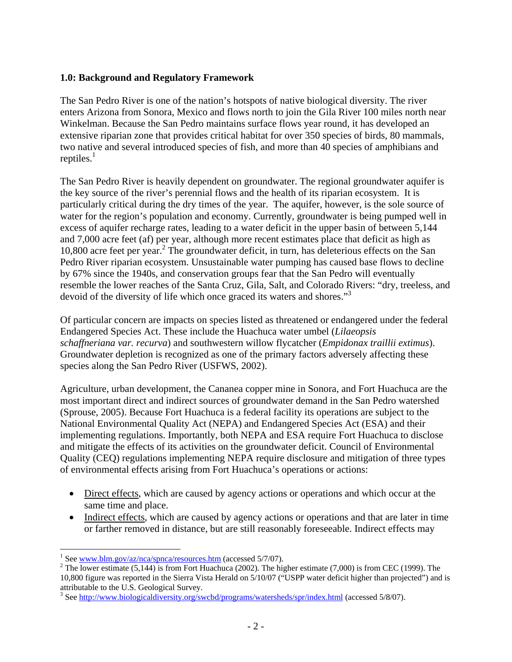#### **1.0: Background and Regulatory Framework**

The San Pedro River is one of the nation's hotspots of native biological diversity. The river enters Arizona from Sonora, Mexico and flows north to join the Gila River 100 miles north near Winkelman. Because the San Pedro maintains surface flows year round, it has developed an extensive riparian zone that provides critical habitat for over 350 species of birds, 80 mammals, two native and several introduced species of fish, and more than 40 species of amphibians and reptiles. $<sup>1</sup>$ </sup>

The San Pedro River is heavily dependent on groundwater. The regional groundwater aquifer is the key source of the river's perennial flows and the health of its riparian ecosystem. It is particularly critical during the dry times of the year. The aquifer, however, is the sole source of water for the region's population and economy. Currently, groundwater is being pumped well in excess of aquifer recharge rates, leading to a water deficit in the upper basin of between 5,144 and 7,000 acre feet (af) per year, although more recent estimates place that deficit as high as 10,800 acre feet per year.[2](#page-1-1) The groundwater deficit, in turn, has deleterious effects on the San Pedro River riparian ecosystem. Unsustainable water pumping has caused base flows to decline by 67% since the 1940s, and conservation groups fear that the San Pedro will eventually resemble the lower reaches of the Santa Cruz, Gila, Salt, and Colorado Rivers: "dry, treeless, and devoid of the diversity of life which once graced its waters and shores."<sup>3</sup>

Of particular concern are impacts on species listed as threatened or endangered under the federal Endangered Species Act. These include the Huachuca water umbel (*Lilaeopsis schaffneriana var. recurva*) and southwestern willow flycatcher (*Empidonax traillii extimus*). Groundwater depletion is recognized as one of the primary factors adversely affecting these species along the San Pedro River (USFWS, 2002).

Agriculture, urban development, the Cananea copper mine in Sonora, and Fort Huachuca are the most important direct and indirect sources of groundwater demand in the San Pedro watershed (Sprouse, 2005). Because Fort Huachuca is a federal facility its operations are subject to the National Environmental Quality Act (NEPA) and Endangered Species Act (ESA) and their implementing regulations. Importantly, both NEPA and ESA require Fort Huachuca to disclose and mitigate the effects of its activities on the groundwater deficit. Council of Environmental Quality (CEQ) regulations implementing NEPA require disclosure and mitigation of three types of environmental effects arising from Fort Huachuca's operations or actions:

- Direct effects, which are caused by agency actions or operations and which occur at the same time and place.
- Indirect effects, which are caused by agency actions or operations and that are later in time or farther removed in distance, but are still reasonably foreseeable. Indirect effects may

<span id="page-1-0"></span><sup>&</sup>lt;sup>1</sup> See <u>[www.blm.gov/az/nca/spnca/resources.htm](http://www.blm.gov/az/nca/spnca/resources.htm)</u> (accessed 5/7/07).<br><sup>2</sup> The lawer estimate (5,144) is from East Hyeologe (2002). The hist

<span id="page-1-1"></span><sup>&</sup>lt;sup>2</sup> The lower estimate (5,144) is from Fort Huachuca (2002). The higher estimate (7,000) is from CEC (1999). The 10,800 figure was reported in the Sierra Vista Herald on 5/10/07 ("USPP water deficit higher than projected") and is attributable to the U.S. Geological Survey. 3

<span id="page-1-2"></span><sup>&</sup>lt;sup>3</sup> See <http://www.biologicaldiversity.org/swcbd/programs/watersheds/spr/index.html> (accessed 5/8/07).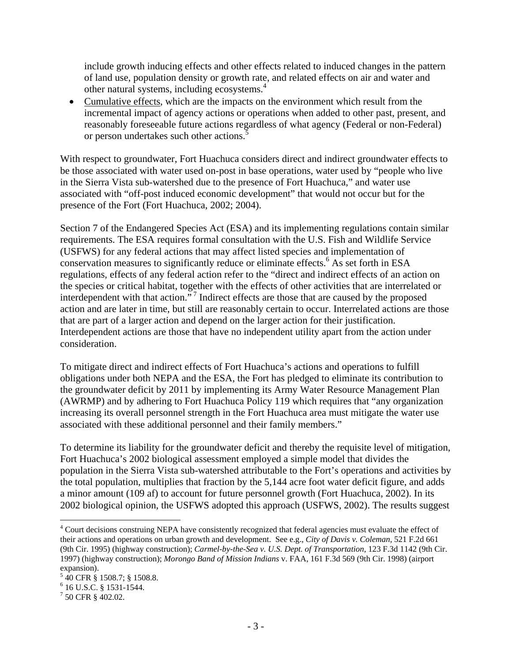include growth inducing effects and other effects related to induced changes in the pattern of land use, population density or growth rate, and related effects on air and water and other natural systems, including ecosystems. [4](#page-2-0)

• Cumulative effects, which are the impacts on the environment which result from the incremental impact of agency actions or operations when added to other past, present, and reasonably foreseeable future actions regardless of what agency (Federal or non-Federal) or person undertakes such other actions.<sup>5</sup>

With respect to groundwater, Fort Huachuca considers direct and indirect groundwater effects to be those associated with water used on-post in base operations, water used by "people who live in the Sierra Vista sub-watershed due to the presence of Fort Huachuca," and water use associated with "off-post induced economic development" that would not occur but for the presence of the Fort (Fort Huachuca, 2002; 2004).

Section 7 of the Endangered Species Act (ESA) and its implementing regulations contain similar requirements. The ESA requires formal consultation with the U.S. Fish and Wildlife Service (USFWS) for any federal actions that may affect listed species and implementation of conservation measures to significantly reduce or eliminate effects.<sup>6</sup> As set forth in ESA regulations, effects of any federal action refer to the "direct and indirect effects of an action on the species or critical habitat, together with the effects of other activities that are interrelated or interdependent with that action."<sup>7</sup> Indirect effects are those that are caused by the proposed action and are later in time, but still are reasonably certain to occur. Interrelated actions are those that are part of a larger action and depend on the larger action for their justification. Interdependent actions are those that have no independent utility apart from the action under consideration.

To mitigate direct and indirect effects of Fort Huachuca's actions and operations to fulfill obligations under both NEPA and the ESA, the Fort has pledged to eliminate its contribution to the groundwater deficit by 2011 by implementing its Army Water Resource Management Plan (AWRMP) and by adhering to Fort Huachuca Policy 119 which requires that "any organization increasing its overall personnel strength in the Fort Huachuca area must mitigate the water use associated with these additional personnel and their family members."

To determine its liability for the groundwater deficit and thereby the requisite level of mitigation, Fort Huachuca's 2002 biological assessment employed a simple model that divides the population in the Sierra Vista sub-watershed attributable to the Fort's operations and activities by the total population, multiplies that fraction by the 5,144 acre foot water deficit figure, and adds a minor amount (109 af) to account for future personnel growth (Fort Huachuca, 2002). In its 2002 biological opinion, the USFWS adopted this approach (USFWS, 2002). The results suggest

1

<span id="page-2-0"></span><sup>&</sup>lt;sup>4</sup> Court decisions construing NEPA have consistently recognized that federal agencies must evaluate the effect of their actions and operations on urban growth and development. See e.g., *City of Davis v. Coleman*, 521 F.2d 661 (9th Cir. 1995) (highway construction); *Carmel-by-the-Sea v. U.S. Dept. of Transportation*, 123 F.3d 1142 (9th Cir. 1997) (highway construction); *Morongo Band of Mission Indians* v. FAA, 161 F.3d 569 (9th Cir. 1998) (airport expansion).<br><sup>5</sup> 40 CFR § 1508.7; § 1508.8.

<span id="page-2-1"></span>

<span id="page-2-2"></span> $6$  16 U.S.C. § 1531-1544.

<span id="page-2-3"></span> $17$  50 CFR § 402.02.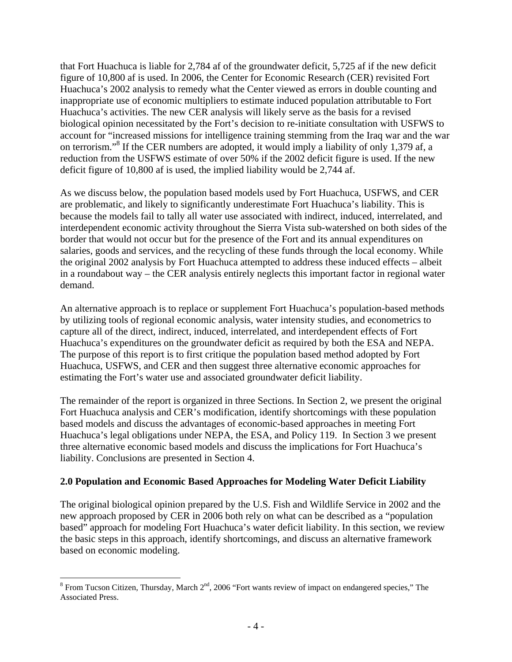that Fort Huachuca is liable for 2,784 af of the groundwater deficit, 5,725 af if the new deficit figure of 10,800 af is used. In 2006, the Center for Economic Research (CER) revisited Fort Huachuca's 2002 analysis to remedy what the Center viewed as errors in double counting and inappropriate use of economic multipliers to estimate induced population attributable to Fort Huachuca's activities. The new CER analysis will likely serve as the basis for a revised biological opinion necessitated by the Fort's decision to re-initiate consultation with USFWS to account for "increased missions for intelligence training stemming from the Iraq war and the war onterrorism."<sup>8</sup> If the CER numbers are adopted, it would imply a liability of only 1,379 af, a reduction from the USFWS estimate of over 50% if the 2002 deficit figure is used. If the new deficit figure of 10,800 af is used, the implied liability would be 2,744 af.

As we discuss below, the population based models used by Fort Huachuca, USFWS, and CER are problematic, and likely to significantly underestimate Fort Huachuca's liability. This is because the models fail to tally all water use associated with indirect, induced, interrelated, and interdependent economic activity throughout the Sierra Vista sub-watershed on both sides of the border that would not occur but for the presence of the Fort and its annual expenditures on salaries, goods and services, and the recycling of these funds through the local economy. While the original 2002 analysis by Fort Huachuca attempted to address these induced effects – albeit in a roundabout way – the CER analysis entirely neglects this important factor in regional water demand.

An alternative approach is to replace or supplement Fort Huachuca's population-based methods by utilizing tools of regional economic analysis, water intensity studies, and econometrics to capture all of the direct, indirect, induced, interrelated, and interdependent effects of Fort Huachuca's expenditures on the groundwater deficit as required by both the ESA and NEPA. The purpose of this report is to first critique the population based method adopted by Fort Huachuca, USFWS, and CER and then suggest three alternative economic approaches for estimating the Fort's water use and associated groundwater deficit liability.

The remainder of the report is organized in three Sections. In Section 2, we present the original Fort Huachuca analysis and CER's modification, identify shortcomings with these population based models and discuss the advantages of economic-based approaches in meeting Fort Huachuca's legal obligations under NEPA, the ESA, and Policy 119. In Section 3 we present three alternative economic based models and discuss the implications for Fort Huachuca's liability. Conclusions are presented in Section 4.

#### **2.0 Population and Economic Based Approaches for Modeling Water Deficit Liability**

The original biological opinion prepared by the U.S. Fish and Wildlife Service in 2002 and the new approach proposed by CER in 2006 both rely on what can be described as a "population based" approach for modeling Fort Huachuca's water deficit liability. In this section, we review the basic steps in this approach, identify shortcomings, and discuss an alternative framework based on economic modeling.

<span id="page-3-0"></span><sup>&</sup>lt;sup>8</sup> From Tucson Citizen, Thursday, March 2<sup>nd</sup>, 2006 "Fort wants review of impact on endangered species," The Associated Press.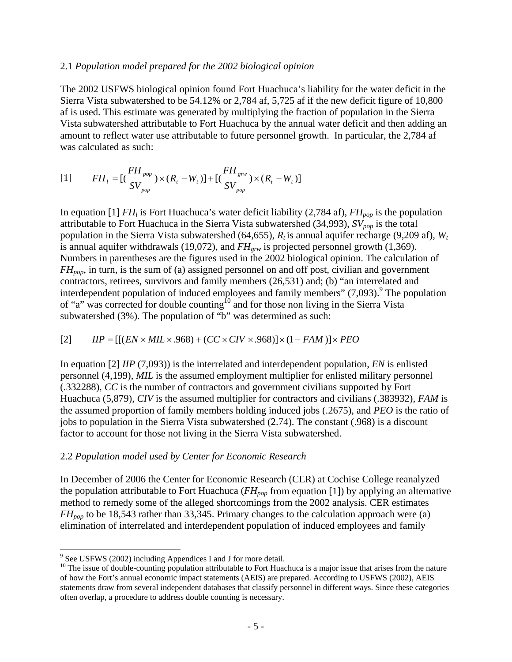#### 2.1 *Population model prepared for the 2002 biological opinion*

The 2002 USFWS biological opinion found Fort Huachuca's liability for the water deficit in the Sierra Vista subwatershed to be 54.12% or 2,784 af, 5,725 af if the new deficit figure of 10,800 af is used. This estimate was generated by multiplying the fraction of population in the Sierra Vista subwatershed attributable to Fort Huachuca by the annual water deficit and then adding an amount to reflect water use attributable to future personnel growth. In particular, the 2,784 af was calculated as such:

$$
[1] \qquad FH_{l} = [(\frac{FH_{pop}}{SV_{pop}}) \times (R_{t} - W_{t})] + [(\frac{FH_{grw}}{SV_{pop}}) \times (R_{t} - W_{t})]
$$

In equation [1]  $FH_l$  is Fort Huachuca's water deficit liability (2,784 af),  $FH_{pop}$  is the population attributable to Fort Huachuca in the Sierra Vista subwatershed  $(34,993)$ ,  $SV_{pop}$  is the total population in the Sierra Vista subwatershed (64,655),  $R_t$  is annual aquifer recharge (9,209 af),  $W_t$ is annual aquifer withdrawals (19,072), and *FH<sub>grw</sub>* is projected personnel growth (1,369). Numbers in parentheses are the figures used in the 2002 biological opinion. The calculation of *FHpop*, in turn, is the sum of (a) assigned personnel on and off post, civilian and government contractors, retirees, survivors and family members (26,531) and; (b) "an interrelated and interdependent population of induced employees and family members"  $(7,093)$  $(7,093)$  $(7,093)$ . The population of "a" was corrected for double counting<sup>10</sup> and for those non living in the Sierra Vista subwatershed (3%). The population of "b" was determined as such:

$$
[2] \qquad IIP = [[(EN \times MIL \times .968) + (CC \times CIV \times .968)] \times (1 - FAM)] \times PEO
$$

In equation [2] *IIP* (7,093)) is the interrelated and interdependent population, *EN* is enlisted personnel (4,199), *MIL* is the assumed employment multiplier for enlisted military personnel (.332288), *CC* is the number of contractors and government civilians supported by Fort Huachuca (5,879), *CIV* is the assumed multiplier for contractors and civilians (.383932), *FAM* is the assumed proportion of family members holding induced jobs (.2675), and *PEO* is the ratio of jobs to population in the Sierra Vista subwatershed (2.74). The constant (.968) is a discount factor to account for those not living in the Sierra Vista subwatershed.

#### 2.2 *Population model used by Center for Economic Research*

In December of 2006 the Center for Economic Research (CER) at Cochise College reanalyzed the population attributable to Fort Huachuca ( $FH_{pop}$  from equation [1]) by applying an alternative method to remedy some of the alleged shortcomings from the 2002 analysis. CER estimates *FH<sub>pop</sub>* to be 18,543 rather than 33,345. Primary changes to the calculation approach were (a) elimination of interrelated and interdependent population of induced employees and family

 $\overline{a}$ 

<span id="page-4-0"></span><sup>&</sup>lt;sup>9</sup> See USFWS (2002) including Appendices I and J for more detail.

<span id="page-4-1"></span> $10$  The issue of double-counting population attributable to Fort Huachuca is a major issue that arises from the nature of how the Fort's annual economic impact statements (AEIS) are prepared. According to USFWS (2002), AEIS statements draw from several independent databases that classify personnel in different ways. Since these categories often overlap, a procedure to address double counting is necessary.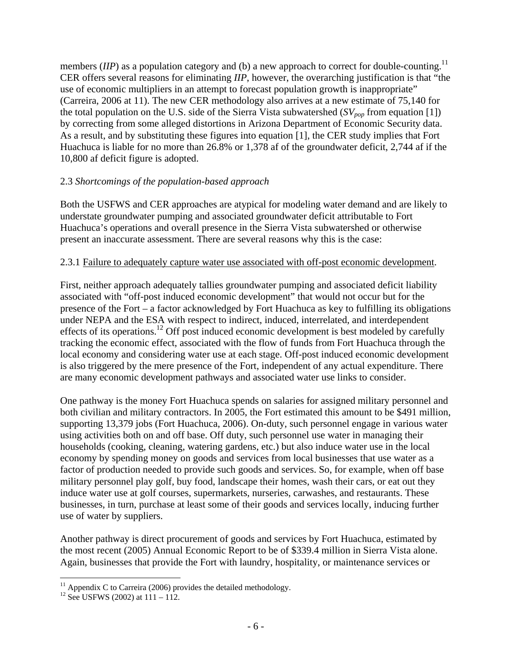members  $(IIP)$  as a population category and (b) a new approach to correct for double-counting.<sup>[11](#page-5-0)</sup> CER offers several reasons for eliminating *IIP*, however, the overarching justification is that "the use of economic multipliers in an attempt to forecast population growth is inappropriate" (Carreira, 2006 at 11). The new CER methodology also arrives at a new estimate of 75,140 for the total population on the U.S. side of the Sierra Vista subwatershed  $(SV_{pop}$  from equation [1]) by correcting from some alleged distortions in Arizona Department of Economic Security data. As a result, and by substituting these figures into equation [1], the CER study implies that Fort Huachuca is liable for no more than 26.8% or 1,378 af of the groundwater deficit, 2,744 af if the 10,800 af deficit figure is adopted.

### 2.3 *Shortcomings of the population-based approach*

Both the USFWS and CER approaches are atypical for modeling water demand and are likely to understate groundwater pumping and associated groundwater deficit attributable to Fort Huachuca's operations and overall presence in the Sierra Vista subwatershed or otherwise present an inaccurate assessment. There are several reasons why this is the case:

#### 2.3.1 Failure to adequately capture water use associated with off-post economic development.

First, neither approach adequately tallies groundwater pumping and associated deficit liability associated with "off-post induced economic development" that would not occur but for the presence of the Fort – a factor acknowledged by Fort Huachuca as key to fulfilling its obligations under NEPA and the ESA with respect to indirect, induced, interrelated, and interdependent effects of its operations.<sup>12</sup> Off post induced economic development is best modeled by carefully tracking the economic effect, associated with the flow of funds from Fort Huachuca through the local economy and considering water use at each stage. Off-post induced economic development is also triggered by the mere presence of the Fort, independent of any actual expenditure. There are many economic development pathways and associated water use links to consider.

One pathway is the money Fort Huachuca spends on salaries for assigned military personnel and both civilian and military contractors. In 2005, the Fort estimated this amount to be \$491 million, supporting 13,379 jobs (Fort Huachuca, 2006). On-duty, such personnel engage in various water using activities both on and off base. Off duty, such personnel use water in managing their households (cooking, cleaning, watering gardens, etc.) but also induce water use in the local economy by spending money on goods and services from local businesses that use water as a factor of production needed to provide such goods and services. So, for example, when off base military personnel play golf, buy food, landscape their homes, wash their cars, or eat out they induce water use at golf courses, supermarkets, nurseries, carwashes, and restaurants. These businesses, in turn, purchase at least some of their goods and services locally, inducing further use of water by suppliers.

Another pathway is direct procurement of goods and services by Fort Huachuca, estimated by the most recent (2005) Annual Economic Report to be of \$339.4 million in Sierra Vista alone. Again, businesses that provide the Fort with laundry, hospitality, or maintenance services or

1

<span id="page-5-0"></span><sup>&</sup>lt;sup>11</sup> Appendix C to Carreira (2006) provides the detailed methodology.<br><sup>12</sup> See USFWS (2002) at 111 – 112.

<span id="page-5-1"></span>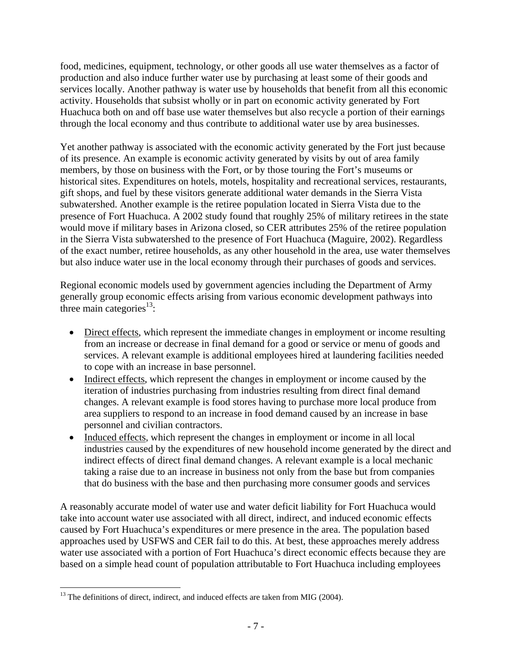food, medicines, equipment, technology, or other goods all use water themselves as a factor of production and also induce further water use by purchasing at least some of their goods and services locally. Another pathway is water use by households that benefit from all this economic activity. Households that subsist wholly or in part on economic activity generated by Fort Huachuca both on and off base use water themselves but also recycle a portion of their earnings through the local economy and thus contribute to additional water use by area businesses.

Yet another pathway is associated with the economic activity generated by the Fort just because of its presence. An example is economic activity generated by visits by out of area family members, by those on business with the Fort, or by those touring the Fort's museums or historical sites. Expenditures on hotels, motels, hospitality and recreational services, restaurants, gift shops, and fuel by these visitors generate additional water demands in the Sierra Vista subwatershed. Another example is the retiree population located in Sierra Vista due to the presence of Fort Huachuca. A 2002 study found that roughly 25% of military retirees in the state would move if military bases in Arizona closed, so CER attributes 25% of the retiree population in the Sierra Vista subwatershed to the presence of Fort Huachuca (Maguire, 2002). Regardless of the exact number, retiree households, as any other household in the area, use water themselves but also induce water use in the local economy through their purchases of goods and services.

Regional economic models used by government agencies including the Department of Army generally group economic effects arising from various economic development pathways into three main categories<sup>13</sup>:

- Direct effects, which represent the immediate changes in employment or income resulting from an increase or decrease in final demand for a good or service or menu of goods and services. A relevant example is additional employees hired at laundering facilities needed to cope with an increase in base personnel.
- Indirect effects, which represent the changes in employment or income caused by the iteration of industries purchasing from industries resulting from direct final demand changes. A relevant example is food stores having to purchase more local produce from area suppliers to respond to an increase in food demand caused by an increase in base personnel and civilian contractors.
- Induced effects, which represent the changes in employment or income in all local industries caused by the expenditures of new household income generated by the direct and indirect effects of direct final demand changes. A relevant example is a local mechanic taking a raise due to an increase in business not only from the base but from companies that do business with the base and then purchasing more consumer goods and services

A reasonably accurate model of water use and water deficit liability for Fort Huachuca would take into account water use associated with all direct, indirect, and induced economic effects caused by Fort Huachuca's expenditures or mere presence in the area. The population based approaches used by USFWS and CER fail to do this. At best, these approaches merely address water use associated with a portion of Fort Huachuca's direct economic effects because they are based on a simple head count of population attributable to Fort Huachuca including employees

<span id="page-6-0"></span> $\overline{a}$  $13$  The definitions of direct, indirect, and induced effects are taken from MIG (2004).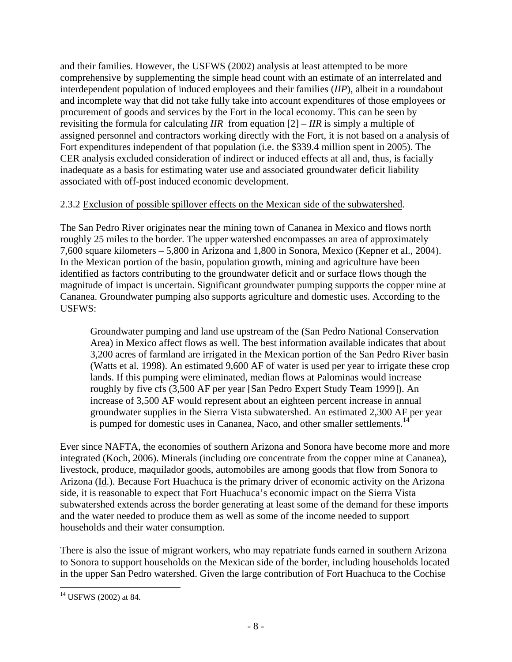and their families. However, the USFWS (2002) analysis at least attempted to be more comprehensive by supplementing the simple head count with an estimate of an interrelated and interdependent population of induced employees and their families (*IIP*), albeit in a roundabout and incomplete way that did not take fully take into account expenditures of those employees or procurement of goods and services by the Fort in the local economy. This can be seen by revisiting the formula for calculating *IIR* from equation [2] – *IIR* is simply a multiple of assigned personnel and contractors working directly with the Fort, it is not based on a analysis of Fort expenditures independent of that population (i.e. the \$339.4 million spent in 2005). The CER analysis excluded consideration of indirect or induced effects at all and, thus, is facially inadequate as a basis for estimating water use and associated groundwater deficit liability associated with off-post induced economic development.

### 2.3.2 Exclusion of possible spillover effects on the Mexican side of the subwatershed.

The San Pedro River originates near the mining town of Cananea in Mexico and flows north roughly 25 miles to the border. The upper watershed encompasses an area of approximately 7,600 square kilometers – 5,800 in Arizona and 1,800 in Sonora, Mexico (Kepner et al., 2004). In the Mexican portion of the basin, population growth, mining and agriculture have been identified as factors contributing to the groundwater deficit and or surface flows though the magnitude of impact is uncertain. Significant groundwater pumping supports the copper mine at Cananea. Groundwater pumping also supports agriculture and domestic uses. According to the USFWS:

Groundwater pumping and land use upstream of the (San Pedro National Conservation Area) in Mexico affect flows as well. The best information available indicates that about 3,200 acres of farmland are irrigated in the Mexican portion of the San Pedro River basin (Watts et al. 1998). An estimated 9,600 AF of water is used per year to irrigate these crop lands. If this pumping were eliminated, median flows at Palominas would increase roughly by five cfs (3,500 AF per year [San Pedro Expert Study Team 1999]). An increase of 3,500 AF would represent about an eighteen percent increase in annual groundwater supplies in the Sierra Vista subwatershed. An estimated 2,300 AF per year is pumped for domestic uses in Cananea, Naco, and other smaller settlements.<sup>14</sup>

Ever since NAFTA, the economies of southern Arizona and Sonora have become more and more integrated (Koch, 2006). Minerals (including ore concentrate from the copper mine at Cananea), livestock, produce, maquilador goods, automobiles are among goods that flow from Sonora to Arizona (Id.). Because Fort Huachuca is the primary driver of economic activity on the Arizona side, it is reasonable to expect that Fort Huachuca's economic impact on the Sierra Vista subwatershed extends across the border generating at least some of the demand for these imports and the water needed to produce them as well as some of the income needed to support households and their water consumption.

There is also the issue of migrant workers, who may repatriate funds earned in southern Arizona to Sonora to support households on the Mexican side of the border, including households located in the upper San Pedro watershed. Given the large contribution of Fort Huachuca to the Cochise

<span id="page-7-0"></span> $\overline{a}$ 14 USFWS (2002) at 84.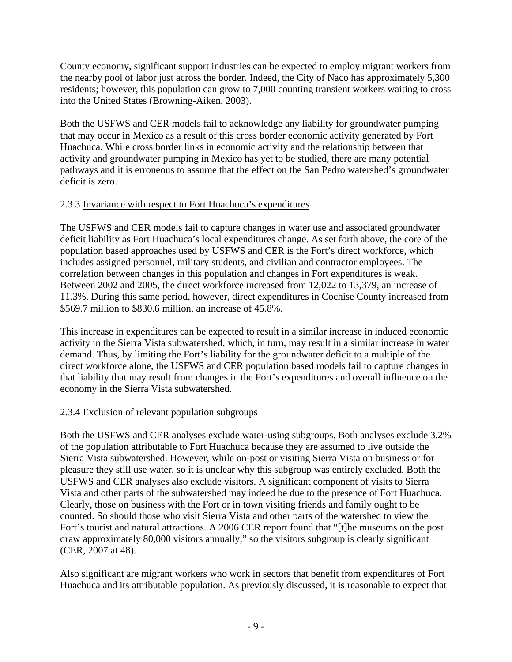County economy, significant support industries can be expected to employ migrant workers from the nearby pool of labor just across the border. Indeed, the City of Naco has approximately 5,300 residents; however, this population can grow to 7,000 counting transient workers waiting to cross into the United States (Browning-Aiken, 2003).

Both the USFWS and CER models fail to acknowledge any liability for groundwater pumping that may occur in Mexico as a result of this cross border economic activity generated by Fort Huachuca. While cross border links in economic activity and the relationship between that activity and groundwater pumping in Mexico has yet to be studied, there are many potential pathways and it is erroneous to assume that the effect on the San Pedro watershed's groundwater deficit is zero.

### 2.3.3 Invariance with respect to Fort Huachuca's expenditures

The USFWS and CER models fail to capture changes in water use and associated groundwater deficit liability as Fort Huachuca's local expenditures change. As set forth above, the core of the population based approaches used by USFWS and CER is the Fort's direct workforce, which includes assigned personnel, military students, and civilian and contractor employees. The correlation between changes in this population and changes in Fort expenditures is weak. Between 2002 and 2005, the direct workforce increased from 12,022 to 13,379, an increase of 11.3%. During this same period, however, direct expenditures in Cochise County increased from \$569.7 million to \$830.6 million, an increase of 45.8%.

This increase in expenditures can be expected to result in a similar increase in induced economic activity in the Sierra Vista subwatershed, which, in turn, may result in a similar increase in water demand. Thus, by limiting the Fort's liability for the groundwater deficit to a multiple of the direct workforce alone, the USFWS and CER population based models fail to capture changes in that liability that may result from changes in the Fort's expenditures and overall influence on the economy in the Sierra Vista subwatershed.

# 2.3.4 Exclusion of relevant population subgroups

Both the USFWS and CER analyses exclude water-using subgroups. Both analyses exclude 3.2% of the population attributable to Fort Huachuca because they are assumed to live outside the Sierra Vista subwatershed. However, while on-post or visiting Sierra Vista on business or for pleasure they still use water, so it is unclear why this subgroup was entirely excluded. Both the USFWS and CER analyses also exclude visitors. A significant component of visits to Sierra Vista and other parts of the subwatershed may indeed be due to the presence of Fort Huachuca. Clearly, those on business with the Fort or in town visiting friends and family ought to be counted. So should those who visit Sierra Vista and other parts of the watershed to view the Fort's tourist and natural attractions. A 2006 CER report found that "[t]he museums on the post draw approximately 80,000 visitors annually," so the visitors subgroup is clearly significant (CER, 2007 at 48).

Also significant are migrant workers who work in sectors that benefit from expenditures of Fort Huachuca and its attributable population. As previously discussed, it is reasonable to expect that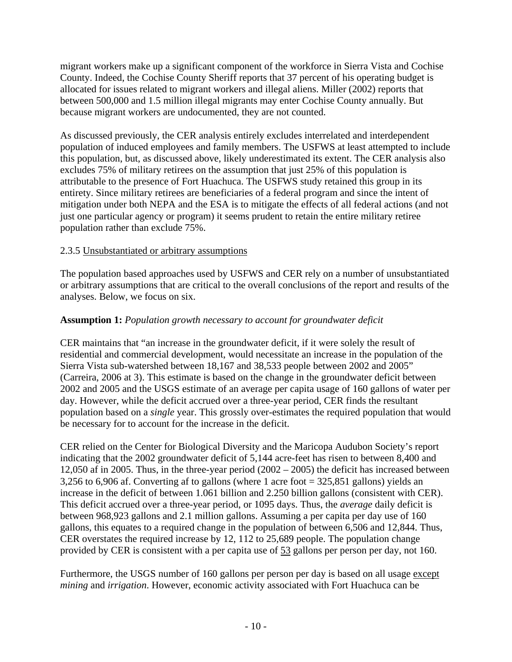migrant workers make up a significant component of the workforce in Sierra Vista and Cochise County. Indeed, the Cochise County Sheriff reports that 37 percent of his operating budget is allocated for issues related to migrant workers and illegal aliens. Miller (2002) reports that between 500,000 and 1.5 million illegal migrants may enter Cochise County annually. But because migrant workers are undocumented, they are not counted.

As discussed previously, the CER analysis entirely excludes interrelated and interdependent population of induced employees and family members. The USFWS at least attempted to include this population, but, as discussed above, likely underestimated its extent. The CER analysis also excludes 75% of military retirees on the assumption that just 25% of this population is attributable to the presence of Fort Huachuca. The USFWS study retained this group in its entirety. Since military retirees are beneficiaries of a federal program and since the intent of mitigation under both NEPA and the ESA is to mitigate the effects of all federal actions (and not just one particular agency or program) it seems prudent to retain the entire military retiree population rather than exclude 75%.

### 2.3.5 Unsubstantiated or arbitrary assumptions

The population based approaches used by USFWS and CER rely on a number of unsubstantiated or arbitrary assumptions that are critical to the overall conclusions of the report and results of the analyses. Below, we focus on six.

# **Assumption 1:** *Population growth necessary to account for groundwater deficit*

CER maintains that "an increase in the groundwater deficit, if it were solely the result of residential and commercial development, would necessitate an increase in the population of the Sierra Vista sub-watershed between 18,167 and 38,533 people between 2002 and 2005" (Carreira, 2006 at 3). This estimate is based on the change in the groundwater deficit between 2002 and 2005 and the USGS estimate of an average per capita usage of 160 gallons of water per day. However, while the deficit accrued over a three-year period, CER finds the resultant population based on a *single* year. This grossly over-estimates the required population that would be necessary for to account for the increase in the deficit.

CER relied on the Center for Biological Diversity and the Maricopa Audubon Society's report indicating that the 2002 groundwater deficit of 5,144 acre-feet has risen to between 8,400 and 12,050 af in 2005. Thus, in the three-year period (2002 – 2005) the deficit has increased between 3,256 to 6,906 af. Converting af to gallons (where 1 acre foot = 325,851 gallons) yields an increase in the deficit of between 1.061 billion and 2.250 billion gallons (consistent with CER). This deficit accrued over a three-year period, or 1095 days. Thus, the *average* daily deficit is between 968,923 gallons and 2.1 million gallons. Assuming a per capita per day use of 160 gallons, this equates to a required change in the population of between 6,506 and 12,844. Thus, CER overstates the required increase by 12, 112 to 25,689 people. The population change provided by CER is consistent with a per capita use of 53 gallons per person per day, not 160.

Furthermore, the USGS number of 160 gallons per person per day is based on all usage except *mining* and *irrigation*. However, economic activity associated with Fort Huachuca can be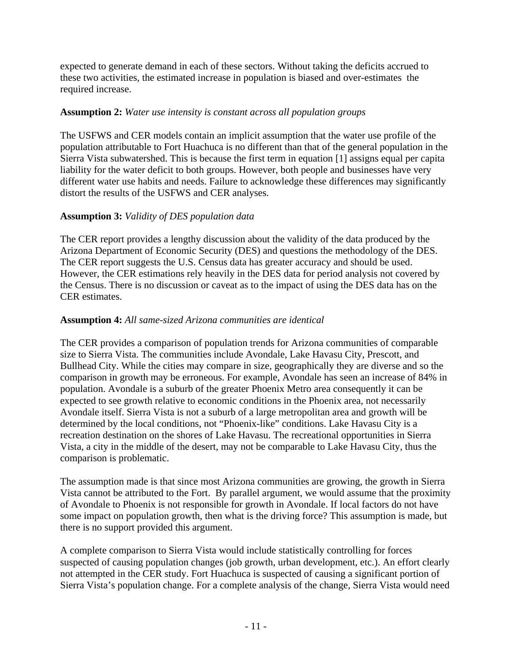expected to generate demand in each of these sectors. Without taking the deficits accrued to these two activities, the estimated increase in population is biased and over-estimates the required increase.

#### **Assumption 2:** *Water use intensity is constant across all population groups*

The USFWS and CER models contain an implicit assumption that the water use profile of the population attributable to Fort Huachuca is no different than that of the general population in the Sierra Vista subwatershed. This is because the first term in equation [1] assigns equal per capita liability for the water deficit to both groups. However, both people and businesses have very different water use habits and needs. Failure to acknowledge these differences may significantly distort the results of the USFWS and CER analyses.

# **Assumption 3:** *Validity of DES population data*

The CER report provides a lengthy discussion about the validity of the data produced by the Arizona Department of Economic Security (DES) and questions the methodology of the DES. The CER report suggests the U.S. Census data has greater accuracy and should be used. However, the CER estimations rely heavily in the DES data for period analysis not covered by the Census. There is no discussion or caveat as to the impact of using the DES data has on the CER estimates.

### **Assumption 4:** *All same-sized Arizona communities are identical*

The CER provides a comparison of population trends for Arizona communities of comparable size to Sierra Vista. The communities include Avondale, Lake Havasu City, Prescott, and Bullhead City. While the cities may compare in size, geographically they are diverse and so the comparison in growth may be erroneous. For example, Avondale has seen an increase of 84% in population. Avondale is a suburb of the greater Phoenix Metro area consequently it can be expected to see growth relative to economic conditions in the Phoenix area, not necessarily Avondale itself. Sierra Vista is not a suburb of a large metropolitan area and growth will be determined by the local conditions, not "Phoenix-like" conditions. Lake Havasu City is a recreation destination on the shores of Lake Havasu. The recreational opportunities in Sierra Vista, a city in the middle of the desert, may not be comparable to Lake Havasu City, thus the comparison is problematic.

The assumption made is that since most Arizona communities are growing, the growth in Sierra Vista cannot be attributed to the Fort. By parallel argument, we would assume that the proximity of Avondale to Phoenix is not responsible for growth in Avondale. If local factors do not have some impact on population growth, then what is the driving force? This assumption is made, but there is no support provided this argument.

A complete comparison to Sierra Vista would include statistically controlling for forces suspected of causing population changes (job growth, urban development, etc.). An effort clearly not attempted in the CER study. Fort Huachuca is suspected of causing a significant portion of Sierra Vista's population change. For a complete analysis of the change, Sierra Vista would need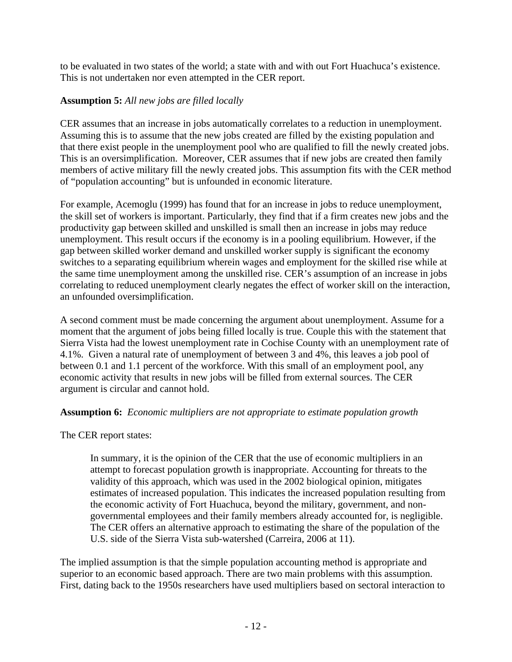to be evaluated in two states of the world; a state with and with out Fort Huachuca's existence. This is not undertaken nor even attempted in the CER report.

### **Assumption 5:** *All new jobs are filled locally*

CER assumes that an increase in jobs automatically correlates to a reduction in unemployment. Assuming this is to assume that the new jobs created are filled by the existing population and that there exist people in the unemployment pool who are qualified to fill the newly created jobs. This is an oversimplification. Moreover, CER assumes that if new jobs are created then family members of active military fill the newly created jobs. This assumption fits with the CER method of "population accounting" but is unfounded in economic literature.

For example, Acemoglu (1999) has found that for an increase in jobs to reduce unemployment, the skill set of workers is important. Particularly, they find that if a firm creates new jobs and the productivity gap between skilled and unskilled is small then an increase in jobs may reduce unemployment. This result occurs if the economy is in a pooling equilibrium. However, if the gap between skilled worker demand and unskilled worker supply is significant the economy switches to a separating equilibrium wherein wages and employment for the skilled rise while at the same time unemployment among the unskilled rise. CER's assumption of an increase in jobs correlating to reduced unemployment clearly negates the effect of worker skill on the interaction, an unfounded oversimplification.

A second comment must be made concerning the argument about unemployment. Assume for a moment that the argument of jobs being filled locally is true. Couple this with the statement that Sierra Vista had the lowest unemployment rate in Cochise County with an unemployment rate of 4.1%. Given a natural rate of unemployment of between 3 and 4%, this leaves a job pool of between 0.1 and 1.1 percent of the workforce. With this small of an employment pool, any economic activity that results in new jobs will be filled from external sources. The CER argument is circular and cannot hold.

#### **Assumption 6:** *Economic multipliers are not appropriate to estimate population growth*

The CER report states:

In summary, it is the opinion of the CER that the use of economic multipliers in an attempt to forecast population growth is inappropriate. Accounting for threats to the validity of this approach, which was used in the 2002 biological opinion, mitigates estimates of increased population. This indicates the increased population resulting from the economic activity of Fort Huachuca, beyond the military, government, and nongovernmental employees and their family members already accounted for, is negligible. The CER offers an alternative approach to estimating the share of the population of the U.S. side of the Sierra Vista sub-watershed (Carreira, 2006 at 11).

The implied assumption is that the simple population accounting method is appropriate and superior to an economic based approach. There are two main problems with this assumption. First, dating back to the 1950s researchers have used multipliers based on sectoral interaction to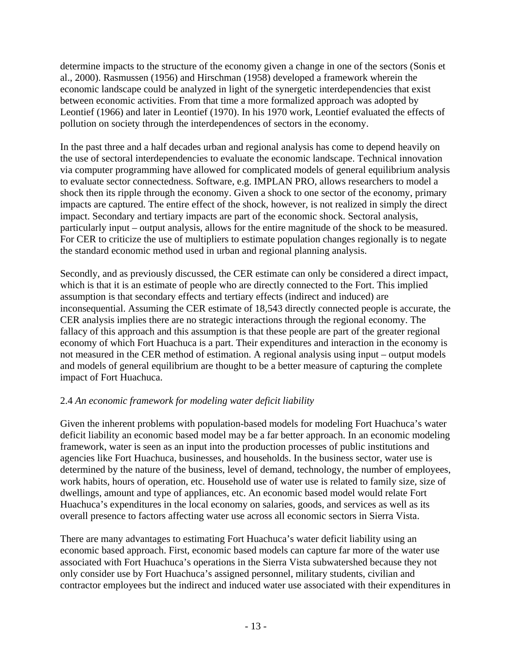determine impacts to the structure of the economy given a change in one of the sectors (Sonis et al., 2000). Rasmussen (1956) and Hirschman (1958) developed a framework wherein the economic landscape could be analyzed in light of the synergetic interdependencies that exist between economic activities. From that time a more formalized approach was adopted by Leontief (1966) and later in Leontief (1970). In his 1970 work, Leontief evaluated the effects of pollution on society through the interdependences of sectors in the economy.

In the past three and a half decades urban and regional analysis has come to depend heavily on the use of sectoral interdependencies to evaluate the economic landscape. Technical innovation via computer programming have allowed for complicated models of general equilibrium analysis to evaluate sector connectedness. Software, e.g. IMPLAN PRO, allows researchers to model a shock then its ripple through the economy. Given a shock to one sector of the economy, primary impacts are captured. The entire effect of the shock, however, is not realized in simply the direct impact. Secondary and tertiary impacts are part of the economic shock. Sectoral analysis, particularly input – output analysis, allows for the entire magnitude of the shock to be measured. For CER to criticize the use of multipliers to estimate population changes regionally is to negate the standard economic method used in urban and regional planning analysis.

Secondly, and as previously discussed, the CER estimate can only be considered a direct impact, which is that it is an estimate of people who are directly connected to the Fort. This implied assumption is that secondary effects and tertiary effects (indirect and induced) are inconsequential. Assuming the CER estimate of 18,543 directly connected people is accurate, the CER analysis implies there are no strategic interactions through the regional economy. The fallacy of this approach and this assumption is that these people are part of the greater regional economy of which Fort Huachuca is a part. Their expenditures and interaction in the economy is not measured in the CER method of estimation. A regional analysis using input – output models and models of general equilibrium are thought to be a better measure of capturing the complete impact of Fort Huachuca.

# 2.4 *An economic framework for modeling water deficit liability*

Given the inherent problems with population-based models for modeling Fort Huachuca's water deficit liability an economic based model may be a far better approach. In an economic modeling framework, water is seen as an input into the production processes of public institutions and agencies like Fort Huachuca, businesses, and households. In the business sector, water use is determined by the nature of the business, level of demand, technology, the number of employees, work habits, hours of operation, etc. Household use of water use is related to family size, size of dwellings, amount and type of appliances, etc. An economic based model would relate Fort Huachuca's expenditures in the local economy on salaries, goods, and services as well as its overall presence to factors affecting water use across all economic sectors in Sierra Vista.

There are many advantages to estimating Fort Huachuca's water deficit liability using an economic based approach. First, economic based models can capture far more of the water use associated with Fort Huachuca's operations in the Sierra Vista subwatershed because they not only consider use by Fort Huachuca's assigned personnel, military students, civilian and contractor employees but the indirect and induced water use associated with their expenditures in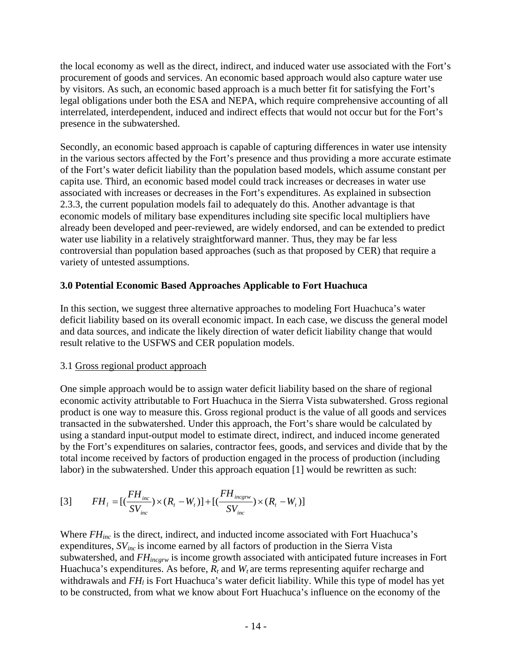the local economy as well as the direct, indirect, and induced water use associated with the Fort's procurement of goods and services. An economic based approach would also capture water use by visitors. As such, an economic based approach is a much better fit for satisfying the Fort's legal obligations under both the ESA and NEPA, which require comprehensive accounting of all interrelated, interdependent, induced and indirect effects that would not occur but for the Fort's presence in the subwatershed.

Secondly, an economic based approach is capable of capturing differences in water use intensity in the various sectors affected by the Fort's presence and thus providing a more accurate estimate of the Fort's water deficit liability than the population based models, which assume constant per capita use. Third, an economic based model could track increases or decreases in water use associated with increases or decreases in the Fort's expenditures. As explained in subsection 2.3.3, the current population models fail to adequately do this. Another advantage is that economic models of military base expenditures including site specific local multipliers have already been developed and peer-reviewed, are widely endorsed, and can be extended to predict water use liability in a relatively straightforward manner. Thus, they may be far less controversial than population based approaches (such as that proposed by CER) that require a variety of untested assumptions.

### **3.0 Potential Economic Based Approaches Applicable to Fort Huachuca**

In this section, we suggest three alternative approaches to modeling Fort Huachuca's water deficit liability based on its overall economic impact. In each case, we discuss the general model and data sources, and indicate the likely direction of water deficit liability change that would result relative to the USFWS and CER population models.

#### 3.1 Gross regional product approach

One simple approach would be to assign water deficit liability based on the share of regional economic activity attributable to Fort Huachuca in the Sierra Vista subwatershed. Gross regional product is one way to measure this. Gross regional product is the value of all goods and services transacted in the subwatershed. Under this approach, the Fort's share would be calculated by using a standard input-output model to estimate direct, indirect, and induced income generated by the Fort's expenditures on salaries, contractor fees, goods, and services and divide that by the total income received by factors of production engaged in the process of production (including labor) in the subwatershed. Under this approach equation [1] would be rewritten as such:

[3] 
$$
FH_{l} = [(\frac{FH_{inc}}{SV_{inc}}) \times (R_{t} - W_{t})] + [(\frac{FH_{incgrw}}{SV_{inc}}) \times (R_{t} - W_{t})]
$$

Where *FH<sub>inc</sub>* is the direct, indirect, and inducted income associated with Fort Huachuca's expenditures, *SVinc* is income earned by all factors of production in the Sierra Vista subwatershed, and *FHincgrw* is income growth associated with anticipated future increases in Fort Huachuca's expenditures. As before,  $R_t$  and  $W_t$  are terms representing aquifer recharge and withdrawals and *FH<sub>l</sub>* is Fort Huachuca's water deficit liability. While this type of model has yet to be constructed, from what we know about Fort Huachuca's influence on the economy of the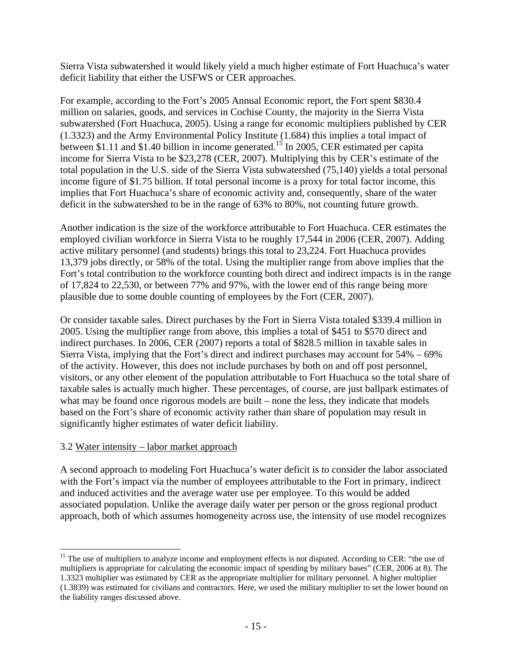Sierra Vista subwatershed it would likely yield a much higher estimate of Fort Huachuca's water deficit liability that either the USFWS or CER approaches.

For example, according to the Fort's 2005 Annual Economic report, the Fort spent \$830.4 million on salaries, goods, and services in Cochise County, the majority in the Sierra Vista subwatershed (Fort Huachuca, 2005). Using a range for economic multipliers published by CER (1.3323) and the Army Environmental Policy Institute (1.684) this implies a total impact of between \$1.11 and \$1.40 billion in income generated.<sup>15</sup> In 2005, CER estimated per capita income for Sierra Vista to be \$23,278 (CER, 2007). Multiplying this by CER's estimate of the total population in the U.S. side of the Sierra Vista subwatershed (75,140) yields a total personal income figure of \$1.75 billion. If total personal income is a proxy for total factor income, this implies that Fort Huachuca's share of economic activity and, consequently, share of the water deficit in the subwatershed to be in the range of 63% to 80%, not counting future growth.

Another indication is the size of the workforce attributable to Fort Huachuca. CER estimates the employed civilian workforce in Sierra Vista to be roughly 17,544 in 2006 (CER, 2007). Adding active military personnel (and students) brings this total to 23,224. Fort Huachuca provides 13,379 jobs directly, or 58% of the total. Using the multiplier range from above implies that the Fort's total contribution to the workforce counting both direct and indirect impacts is in the range of 17,824 to 22,530, or between 77% and 97%, with the lower end of this range being more plausible due to some double counting of employees by the Fort (CER, 2007).

Or consider taxable sales. Direct purchases by the Fort in Sierra Vista totaled \$339.4 million in 2005. Using the multiplier range from above, this implies a total of \$451 to \$570 direct and indirect purchases. In 2006, CER (2007) reports a total of \$828.5 million in taxable sales in Sierra Vista, implying that the Fort's direct and indirect purchases may account for 54% – 69% of the activity. However, this does not include purchases by both on and off post personnel, visitors, or any other element of the population attributable to Fort Huachuca so the total share of taxable sales is actually much higher. These percentages, of course, are just ballpark estimates of what may be found once rigorous models are built – none the less, they indicate that models based on the Fort's share of economic activity rather than share of population may result in significantly higher estimates of water deficit liability.

#### 3.2 Water intensity – labor market approach

 $\overline{a}$ 

A second approach to modeling Fort Huachuca's water deficit is to consider the labor associated with the Fort's impact via the number of employees attributable to the Fort in primary, indirect and induced activities and the average water use per employee. To this would be added associated population. Unlike the average daily water per person or the gross regional product approach, both of which assumes homogeneity across use, the intensity of use model recognizes

<span id="page-14-0"></span><sup>&</sup>lt;sup>15</sup> The use of multipliers to analyze income and employment effects is not disputed. According to CER: "the use of multipliers is appropriate for calculating the economic impact of spending by military bases" (CER, 2006 at 8). The 1.3323 multiplier was estimated by CER as the appropriate multiplier for military personnel. A higher multiplier (1.3839) was estimated for civilians and contractors. Here, we used the military multiplier to set the lower bound on the liability ranges discussed above.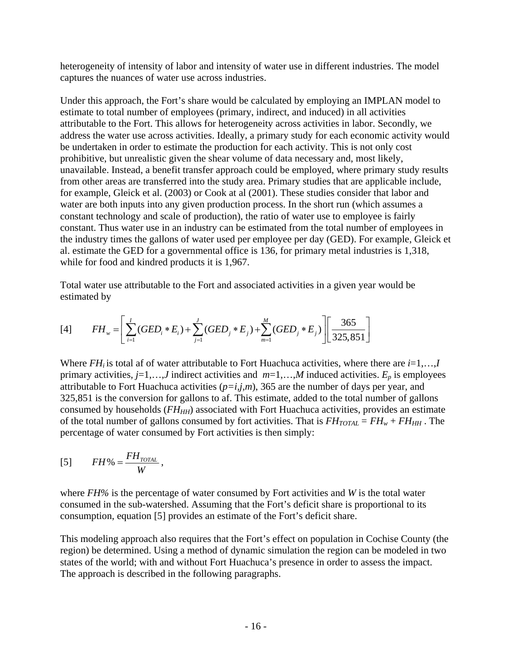heterogeneity of intensity of labor and intensity of water use in different industries. The model captures the nuances of water use across industries.

Under this approach, the Fort's share would be calculated by employing an IMPLAN model to estimate to total number of employees (primary, indirect, and induced) in all activities attributable to the Fort. This allows for heterogeneity across activities in labor. Secondly, we address the water use across activities. Ideally, a primary study for each economic activity would be undertaken in order to estimate the production for each activity. This is not only cost prohibitive, but unrealistic given the shear volume of data necessary and, most likely, unavailable. Instead, a benefit transfer approach could be employed, where primary study results from other areas are transferred into the study area. Primary studies that are applicable include, for example, Gleick et al. (2003) or Cook at al (2001). These studies consider that labor and water are both inputs into any given production process. In the short run (which assumes a constant technology and scale of production), the ratio of water use to employee is fairly constant. Thus water use in an industry can be estimated from the total number of employees in the industry times the gallons of water used per employee per day (GED). For example, Gleick et al. estimate the GED for a governmental office is 136, for primary metal industries is 1,318, while for food and kindred products it is 1,967.

Total water use attributable to the Fort and associated activities in a given year would be estimated by

[4] 
$$
FH_{w} = \left[ \sum_{i=1}^{I} (GED_{i} * E_{i}) + \sum_{j=1}^{J} (GED_{j} * E_{j}) + \sum_{m=1}^{M} (GED_{j} * E_{j}) \right] \left[ \frac{365}{325,851} \right]
$$

Where  $FH_i$  is total af of water attributable to Fort Huachuca activities, where there are  $i=1,\ldots,I$ primary activities, *j*=1,…,*J* indirect activities and *m*=1,…,*M* induced activities. *Ep* is employees attributable to Fort Huachuca activities  $(p=i,j,m)$ , 365 are the number of days per year, and 325,851 is the conversion for gallons to af. This estimate, added to the total number of gallons consumed by households  $(FH_{HH})$  associated with Fort Huachuca activities, provides an estimate of the total number of gallons consumed by fort activities. That is  $FH_{TOTAL} = FH_w + FH_{HH}$ . The percentage of water consumed by Fort activities is then simply:

$$
[5] \qquad FH\% = \frac{FH_{\text{total}}}{W},
$$

where *FH%* is the percentage of water consumed by Fort activities and *W* is the total water consumed in the sub-watershed. Assuming that the Fort's deficit share is proportional to its consumption, equation [5] provides an estimate of the Fort's deficit share.

This modeling approach also requires that the Fort's effect on population in Cochise County (the region) be determined. Using a method of dynamic simulation the region can be modeled in two states of the world; with and without Fort Huachuca's presence in order to assess the impact. The approach is described in the following paragraphs.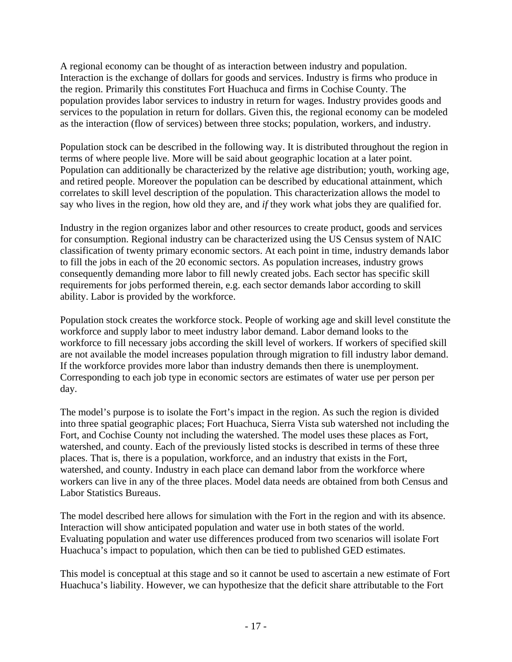A regional economy can be thought of as interaction between industry and population. Interaction is the exchange of dollars for goods and services. Industry is firms who produce in the region. Primarily this constitutes Fort Huachuca and firms in Cochise County. The population provides labor services to industry in return for wages. Industry provides goods and services to the population in return for dollars. Given this, the regional economy can be modeled as the interaction (flow of services) between three stocks; population, workers, and industry.

Population stock can be described in the following way. It is distributed throughout the region in terms of where people live. More will be said about geographic location at a later point. Population can additionally be characterized by the relative age distribution; youth, working age, and retired people. Moreover the population can be described by educational attainment, which correlates to skill level description of the population. This characterization allows the model to say who lives in the region, how old they are, and *if* they work what jobs they are qualified for.

Industry in the region organizes labor and other resources to create product, goods and services for consumption. Regional industry can be characterized using the US Census system of NAIC classification of twenty primary economic sectors. At each point in time, industry demands labor to fill the jobs in each of the 20 economic sectors. As population increases, industry grows consequently demanding more labor to fill newly created jobs. Each sector has specific skill requirements for jobs performed therein, e.g. each sector demands labor according to skill ability. Labor is provided by the workforce.

Population stock creates the workforce stock. People of working age and skill level constitute the workforce and supply labor to meet industry labor demand. Labor demand looks to the workforce to fill necessary jobs according the skill level of workers. If workers of specified skill are not available the model increases population through migration to fill industry labor demand. If the workforce provides more labor than industry demands then there is unemployment. Corresponding to each job type in economic sectors are estimates of water use per person per day.

The model's purpose is to isolate the Fort's impact in the region. As such the region is divided into three spatial geographic places; Fort Huachuca, Sierra Vista sub watershed not including the Fort, and Cochise County not including the watershed. The model uses these places as Fort, watershed, and county. Each of the previously listed stocks is described in terms of these three places. That is, there is a population, workforce, and an industry that exists in the Fort, watershed, and county. Industry in each place can demand labor from the workforce where workers can live in any of the three places. Model data needs are obtained from both Census and Labor Statistics Bureaus.

The model described here allows for simulation with the Fort in the region and with its absence. Interaction will show anticipated population and water use in both states of the world. Evaluating population and water use differences produced from two scenarios will isolate Fort Huachuca's impact to population, which then can be tied to published GED estimates.

This model is conceptual at this stage and so it cannot be used to ascertain a new estimate of Fort Huachuca's liability. However, we can hypothesize that the deficit share attributable to the Fort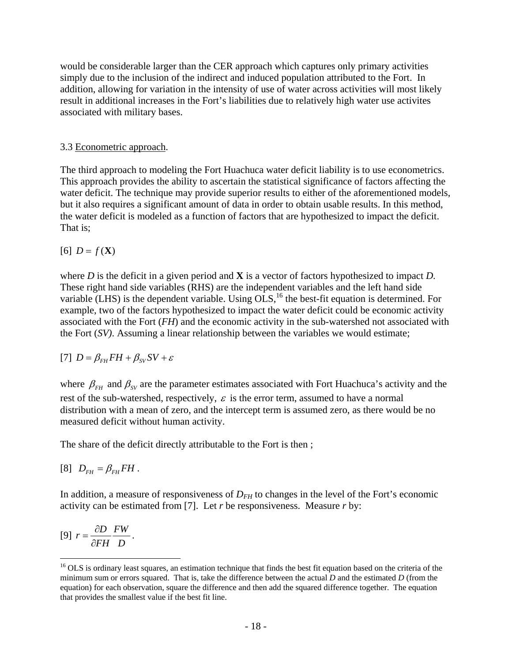would be considerable larger than the CER approach which captures only primary activities simply due to the inclusion of the indirect and induced population attributed to the Fort. In addition, allowing for variation in the intensity of use of water across activities will most likely result in additional increases in the Fort's liabilities due to relatively high water use activites associated with military bases.

#### 3.3 Econometric approach.

The third approach to modeling the Fort Huachuca water deficit liability is to use econometrics. This approach provides the ability to ascertain the statistical significance of factors affecting the water deficit. The technique may provide superior results to either of the aforementioned models, but it also requires a significant amount of data in order to obtain usable results. In this method, the water deficit is modeled as a function of factors that are hypothesized to impact the deficit. That is;

 $[6]$  *D* =  $f$  (**X**)

where *D* is the deficit in a given period and **X** is a vector of factors hypothesized to impact *D.*  These right hand side variables (RHS) are the independent variables and the left hand side variable (LHS) is the dependent variable. Using  $\overrightarrow{OLS}$ ,<sup>16</sup> the best-fit equation is determined. For example, two of the factors hypothesized to impact the water deficit could be economic activity associated with the Fort (*FH*) and the economic activity in the sub-watershed not associated with the Fort (*SV)*. Assuming a linear relationship between the variables we would estimate;

$$
[7] D = \beta_{FH} FH + \beta_{SV} SV + \varepsilon
$$

where  $\beta_{FH}$  and  $\beta_{SV}$  are the parameter estimates associated with Fort Huachuca's activity and the rest of the sub-watershed, respectively,  $\varepsilon$  is the error term, assumed to have a normal distribution with a mean of zero, and the intercept term is assumed zero, as there would be no measured deficit without human activity.

The share of the deficit directly attributable to the Fort is then ;

 $[8]$   $D_{FH} = \beta_{FH} F H$ .

In addition, a measure of responsiveness of  $D_{FH}$  to changes in the level of the Fort's economic activity can be estimated from [7]. Let *r* be responsiveness. Measure *r* by:

$$
[9] r = \frac{\partial D}{\partial FH} \frac{FW}{D}.
$$

 $\overline{a}$ 

<span id="page-17-0"></span><sup>&</sup>lt;sup>16</sup> OLS is ordinary least squares, an estimation technique that finds the best fit equation based on the criteria of the minimum sum or errors squared. That is, take the difference between the actual *D* and the estimated *D* (from the equation) for each observation, square the difference and then add the squared difference together. The equation that provides the smallest value if the best fit line.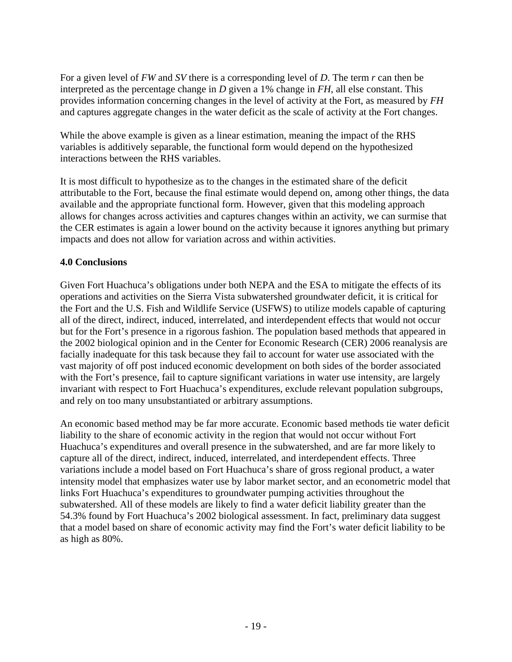For a given level of *FW* and *SV* there is a corresponding level of *D*. The term *r* can then be interpreted as the percentage change in *D* given a 1% change in *FH*, all else constant. This provides information concerning changes in the level of activity at the Fort, as measured by *FH* and captures aggregate changes in the water deficit as the scale of activity at the Fort changes.

While the above example is given as a linear estimation, meaning the impact of the RHS variables is additively separable, the functional form would depend on the hypothesized interactions between the RHS variables.

It is most difficult to hypothesize as to the changes in the estimated share of the deficit attributable to the Fort, because the final estimate would depend on, among other things, the data available and the appropriate functional form. However, given that this modeling approach allows for changes across activities and captures changes within an activity, we can surmise that the CER estimates is again a lower bound on the activity because it ignores anything but primary impacts and does not allow for variation across and within activities.

### **4.0 Conclusions**

Given Fort Huachuca's obligations under both NEPA and the ESA to mitigate the effects of its operations and activities on the Sierra Vista subwatershed groundwater deficit, it is critical for the Fort and the U.S. Fish and Wildlife Service (USFWS) to utilize models capable of capturing all of the direct, indirect, induced, interrelated, and interdependent effects that would not occur but for the Fort's presence in a rigorous fashion. The population based methods that appeared in the 2002 biological opinion and in the Center for Economic Research (CER) 2006 reanalysis are facially inadequate for this task because they fail to account for water use associated with the vast majority of off post induced economic development on both sides of the border associated with the Fort's presence, fail to capture significant variations in water use intensity, are largely invariant with respect to Fort Huachuca's expenditures, exclude relevant population subgroups, and rely on too many unsubstantiated or arbitrary assumptions.

An economic based method may be far more accurate. Economic based methods tie water deficit liability to the share of economic activity in the region that would not occur without Fort Huachuca's expenditures and overall presence in the subwatershed, and are far more likely to capture all of the direct, indirect, induced, interrelated, and interdependent effects. Three variations include a model based on Fort Huachuca's share of gross regional product, a water intensity model that emphasizes water use by labor market sector, and an econometric model that links Fort Huachuca's expenditures to groundwater pumping activities throughout the subwatershed. All of these models are likely to find a water deficit liability greater than the 54.3% found by Fort Huachuca's 2002 biological assessment. In fact, preliminary data suggest that a model based on share of economic activity may find the Fort's water deficit liability to be as high as 80%.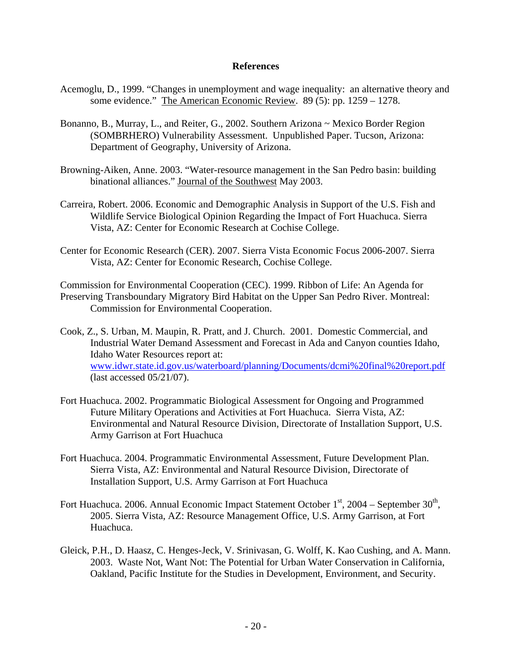#### **References**

- Acemoglu, D., 1999. "Changes in unemployment and wage inequality: an alternative theory and some evidence." The American Economic Review. 89 (5): pp. 1259 – 1278.
- Bonanno, B., Murray, L., and Reiter, G., 2002. Southern Arizona ~ Mexico Border Region (SOMBRHERO) Vulnerability Assessment. Unpublished Paper. Tucson, Arizona: Department of Geography, University of Arizona.
- Browning-Aiken, Anne. 2003. "Water-resource management in the San Pedro basin: building binational alliances." Journal of the Southwest May 2003.
- Carreira, Robert. 2006. Economic and Demographic Analysis in Support of the U.S. Fish and Wildlife Service Biological Opinion Regarding the Impact of Fort Huachuca. Sierra Vista, AZ: Center for Economic Research at Cochise College.
- Center for Economic Research (CER). 2007. Sierra Vista Economic Focus 2006-2007. Sierra Vista, AZ: Center for Economic Research, Cochise College.

Commission for Environmental Cooperation (CEC). 1999. Ribbon of Life: An Agenda for Preserving Transboundary Migratory Bird Habitat on the Upper San Pedro River. Montreal: Commission for Environmental Cooperation.

Cook, Z., S. Urban, M. Maupin, R. Pratt, and J. Church. 2001. Domestic Commercial, and Industrial Water Demand Assessment and Forecast in Ada and Canyon counties Idaho, Idaho Water Resources report at: [www.idwr.state.id.gov.us/waterboard/planning/Documents/dcmi%20final%20report.pdf](http://www.idwr.state.id.gov.us/waterboard/planning/Documents/dcmi final report.pdf) (last accessed 05/21/07).

- Fort Huachuca. 2002. Programmatic Biological Assessment for Ongoing and Programmed Future Military Operations and Activities at Fort Huachuca. Sierra Vista, AZ: Environmental and Natural Resource Division, Directorate of Installation Support, U.S. Army Garrison at Fort Huachuca
- Fort Huachuca. 2004. Programmatic Environmental Assessment, Future Development Plan. Sierra Vista, AZ: Environmental and Natural Resource Division, Directorate of Installation Support, U.S. Army Garrison at Fort Huachuca
- Fort Huachuca. 2006. Annual Economic Impact Statement October  $1<sup>st</sup>$ , 2004 September  $30<sup>th</sup>$ , 2005. Sierra Vista, AZ: Resource Management Office, U.S. Army Garrison, at Fort Huachuca.
- Gleick, P.H., D. Haasz, C. Henges-Jeck, V. Srinivasan, G. Wolff, K. Kao Cushing, and A. Mann. 2003. Waste Not, Want Not: The Potential for Urban Water Conservation in California, Oakland, Pacific Institute for the Studies in Development, Environment, and Security.